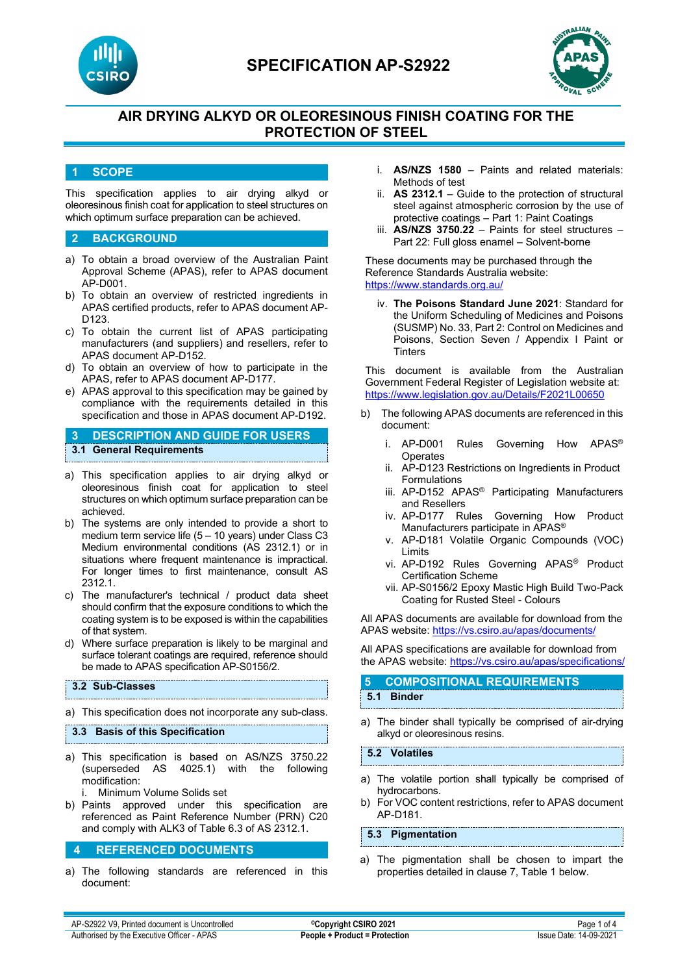



# **AIR DRYING ALKYD OR OLEORESINOUS FINISH COATING FOR THE PROTECTION OF STEEL**

#### **1 SCOPE**

This specification applies to air drying alkyd or oleoresinous finish coat for application to steel structures on which optimum surface preparation can be achieved.

#### **2 BACKGROUND**

- a) To obtain a broad overview of the Australian Paint Approval Scheme (APAS), refer to APAS document AP-D001.
- b) To obtain an overview of restricted ingredients in APAS certified products, refer to APAS document AP-D123.
- c) To obtain the current list of APAS participating manufacturers (and suppliers) and resellers, refer to APAS document AP-D152.
- d) To obtain an overview of how to participate in the APAS, refer to APAS document AP-D177.
- e) APAS approval to this specification may be gained by compliance with the requirements detailed in this specification and those in APAS document AP-D192.

## **3 DESCRIPTION AND GUIDE FOR USERS 3.1 General Requirements**

- a) This specification applies to air drying alkyd or oleoresinous finish coat for application to steel structures on which optimum surface preparation can be achieved.
- b) The systems are only intended to provide a short to medium term service life (5 – 10 years) under Class C3 Medium environmental conditions (AS 2312.1) or in situations where frequent maintenance is impractical. For longer times to first maintenance, consult AS 2312.1.
- c) The manufacturer's technical / product data sheet should confirm that the exposure conditions to which the coating system is to be exposed is within the capabilities of that system.
- d) Where surface preparation is likely to be marginal and surface tolerant coatings are required, reference should be made to APAS specification AP-S0156/2.

#### **3.2 Sub-Classes**

a) This specification does not incorporate any sub-class.

**3.3 Basis of this Specification**

a) This specification is based on AS/NZS 3750.22 (superseded AS 4025.1) with the following modification:

i. Minimum Volume Solids set

b) Paints approved under this specification are referenced as Paint Reference Number (PRN) C20 and comply with ALK3 of Table 6.3 of AS 2312.1.

#### **4 REFERENCED DOCUMENTS**

a) The following standards are referenced in this document:

- i. **AS/NZS 1580** Paints and related materials: Methods of test
- ii. **AS 2312.1** Guide to the protection of structural steel against atmospheric corrosion by the use of protective coatings – Part 1: Paint Coatings
- iii. **AS/NZS 3750.22** Paints for steel structures Part 22: Full gloss enamel – Solvent-borne

These documents may be purchased through the Reference Standards Australia website: <https://www.standards.org.au/>

iv. **The Poisons Standard June 2021**: Standard for the Uniform Scheduling of Medicines and Poisons (SUSMP) No. 33, Part 2: Control on Medicines and Poisons, Section Seven / Appendix I Paint or **Tinters** 

This document is available from the Australian Government Federal Register of Legislation website at: <https://www.legislation.gov.au/Details/F2021L00650>

- b) The following APAS documents are referenced in this document:
	- i. AP-D001 Rules Governing How APAS® Operates
	- ii. AP-D123 Restrictions on Ingredients in Product Formulations
	- iii. AP-D152 APAS® Participating Manufacturers and Resellers
	- iv. AP-D177 Rules Governing How Product Manufacturers participate in APAS®
	- v. AP-D181 Volatile Organic Compounds (VOC) Limits
	- vi. AP-D192 Rules Governing APAS® Product Certification Scheme
	- vii. AP-S0156/2 Epoxy Mastic High Build Two-Pack Coating for Rusted Steel - Colours

All APAS documents are available for download from the APAS website: <https://vs.csiro.au/apas/documents/>

All APAS specifications are available for download from the APAS website: <https://vs.csiro.au/apas/specifications/>

## **5 COMPOSITIONAL REQUIREMENTS 5.1 Binder**

a) The binder shall typically be comprised of air-drying alkyd or oleoresinous resins.

#### **5.2 Volatiles**

- a) The volatile portion shall typically be comprised of hydrocarbons.
- b) For VOC content restrictions, refer to APAS document AP-D181.

#### **5.3 Pigmentation**

a) The pigmentation shall be chosen to impart the properties detailed in clause 7, Table 1 below.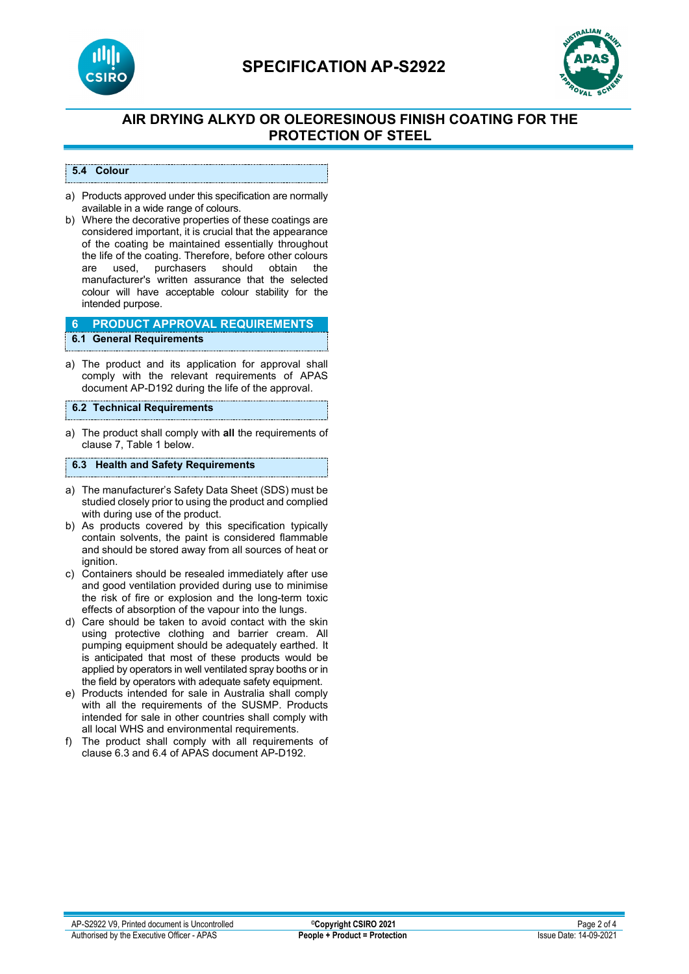

# **SPECIFICATION AP-S2922**



# **AIR DRYING ALKYD OR OLEORESINOUS FINISH COATING FOR THE PROTECTION OF STEEL**

#### **5.4 Colour**

- a) Products approved under this specification are normally available in a wide range of colours.
- b) Where the decorative properties of these coatings are considered important, it is crucial that the appearance of the coating be maintained essentially throughout the life of the coating. Therefore, before other colours<br>are used, purchasers should obtain the should obtain manufacturer's written assurance that the selected colour will have acceptable colour stability for the intended purpose.

## **6 PRODUCT APPROVAL REQUIREMENTS**

## **6.1 General Requirements**

a) The product and its application for approval shall comply with the relevant requirements of APAS document AP-D192 during the life of the approval.

#### **6.2 Technical Requirements**

a) The product shall comply with **all** the requirements of clause 7, Table 1 below.

#### **6.3 Health and Safety Requirements**

- a) The manufacturer's Safety Data Sheet (SDS) must be studied closely prior to using the product and complied with during use of the product.
- b) As products covered by this specification typically contain solvents, the paint is considered flammable and should be stored away from all sources of heat or ignition.
- c) Containers should be resealed immediately after use and good ventilation provided during use to minimise the risk of fire or explosion and the long-term toxic effects of absorption of the vapour into the lungs.
- d) Care should be taken to avoid contact with the skin using protective clothing and barrier cream. All pumping equipment should be adequately earthed. It is anticipated that most of these products would be applied by operators in well ventilated spray booths or in the field by operators with adequate safety equipment.
- e) Products intended for sale in Australia shall comply with all the requirements of the SUSMP. Products intended for sale in other countries shall comply with all local WHS and environmental requirements.
- f) The product shall comply with all requirements of clause 6.3 and 6.4 of APAS document AP-D192.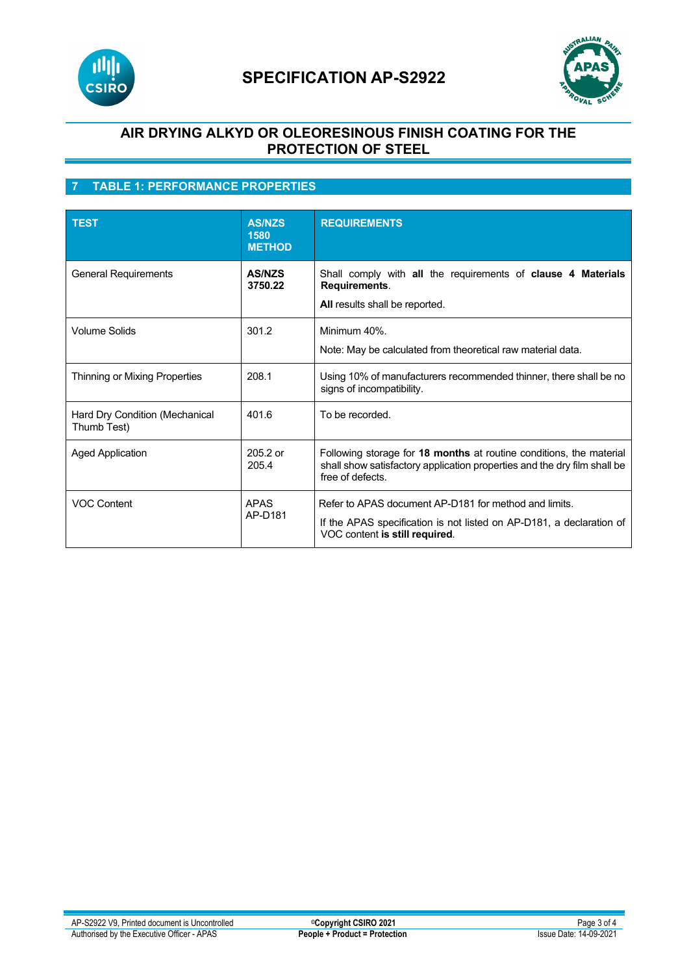

# **SPECIFICATION AP-S2922**



## **AIR DRYING ALKYD OR OLEORESINOUS FINISH COATING FOR THE PROTECTION OF STEEL**

# **7 TABLE 1: PERFORMANCE PROPERTIES**

| <b>TEST</b>                                   | <b>AS/NZS</b><br>1580<br><b>METHOD</b> | <b>REQUIREMENTS</b>                                                                                                                                                 |
|-----------------------------------------------|----------------------------------------|---------------------------------------------------------------------------------------------------------------------------------------------------------------------|
| <b>General Requirements</b>                   | <b>AS/NZS</b><br>3750.22               | Shall comply with all the requirements of clause 4 Materials<br>Requirements.<br>All results shall be reported.                                                     |
| <b>Volume Solids</b>                          | 301.2                                  | Minimum 40%.<br>Note: May be calculated from theoretical raw material data.                                                                                         |
| Thinning or Mixing Properties                 | 208.1                                  | Using 10% of manufacturers recommended thinner, there shall be no<br>signs of incompatibility.                                                                      |
| Hard Dry Condition (Mechanical<br>Thumb Test) | 401.6                                  | To be recorded.                                                                                                                                                     |
| <b>Aged Application</b>                       | 205.2 or<br>205.4                      | Following storage for 18 months at routine conditions, the material<br>shall show satisfactory application properties and the dry film shall be<br>free of defects. |
| <b>VOC Content</b>                            | <b>APAS</b><br>AP-D181                 | Refer to APAS document AP-D181 for method and limits.<br>If the APAS specification is not listed on AP-D181, a declaration of<br>VOC content is still required.     |